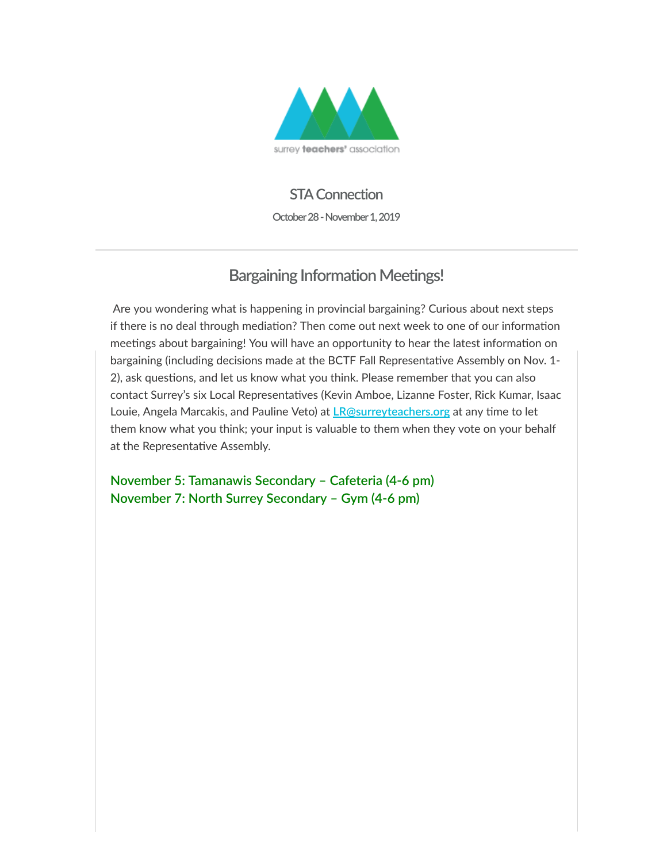

#### **STA Connection**

**October 28 - November 1, 2019**

## **Bargaining Information Meetings!**

 Are you wondering what is happening in provincial bargaining? Curious about next steps if there is no deal through mediation? Then come out next week to one of our information meetings about bargaining! You will have an opportunity to hear the latest information on bargaining (including decisions made at the BCTF Fall Representative Assembly on Nov. 1-2), ask questions, and let us know what you think. Please remember that you can also contact Surrey's six Local Representatives (Kevin Amboe, Lizanne Foster, Rick Kumar, Isaac Louie, Angela Marcakis, and Pauline Veto) at **[LR@surreyteachers.org](https://surreyteachers.us20.list-manage.com/track/click?u=37ec644ae87e34b54b3912660&id=cc4e472064&e=7261da6bdb)** at any time to let them know what you think; your input is valuable to them when they vote on your behalf at the Representative Assembly.

**November 5: Tamanawis Secondary – Cafeteria (4-6 pm) November 7: North Surrey Secondary – Gym (4-6 pm)**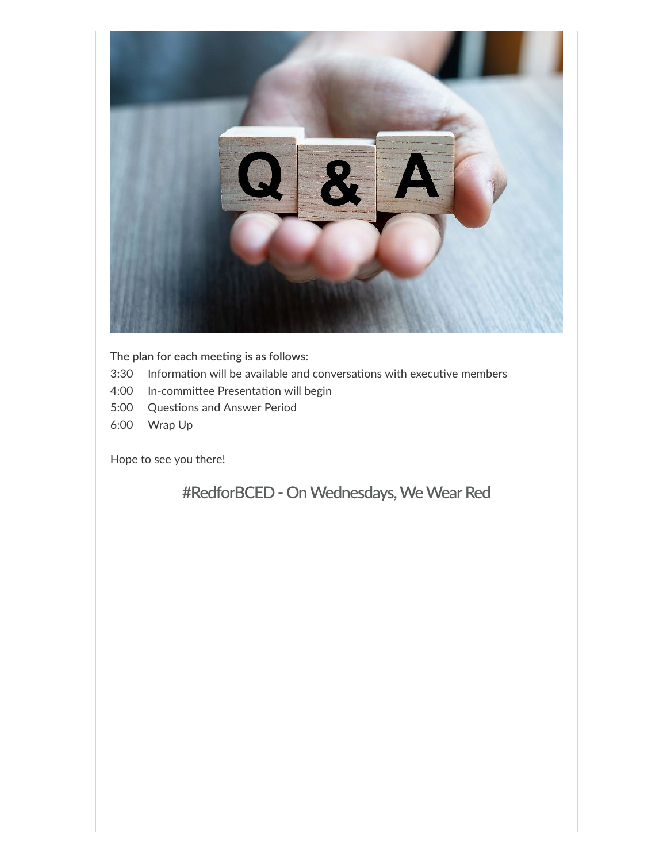

 $The plan for each meeting is as follows:$ 

- 3:30 Information will be available and conversations with executive members
- 4:00 In-committee Presentation will begin
- 5:00 Questions and Answer Period
- 6:00 Wrap Up

Hope to see you there!

**#RedforBCED- OnWednesdays,WeWearRed**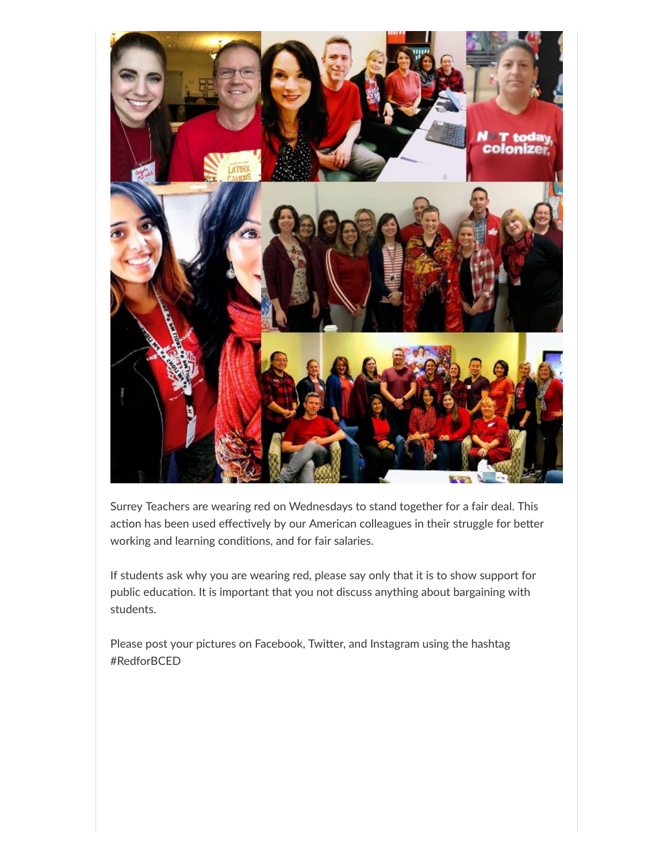

Surrey Teachers are wearing red on Wednesdays to stand together for a fair deal. This action has been used effectively by our American colleagues in their struggle for better working and learning conditions, and for fair salaries.

If students ask why you are wearing red, please say only that it is to show support for public education. It is important that you not discuss anything about bargaining with students.

Please post your pictures on Facebook, Twitter, and Instagram using the hashtag #RedforBCED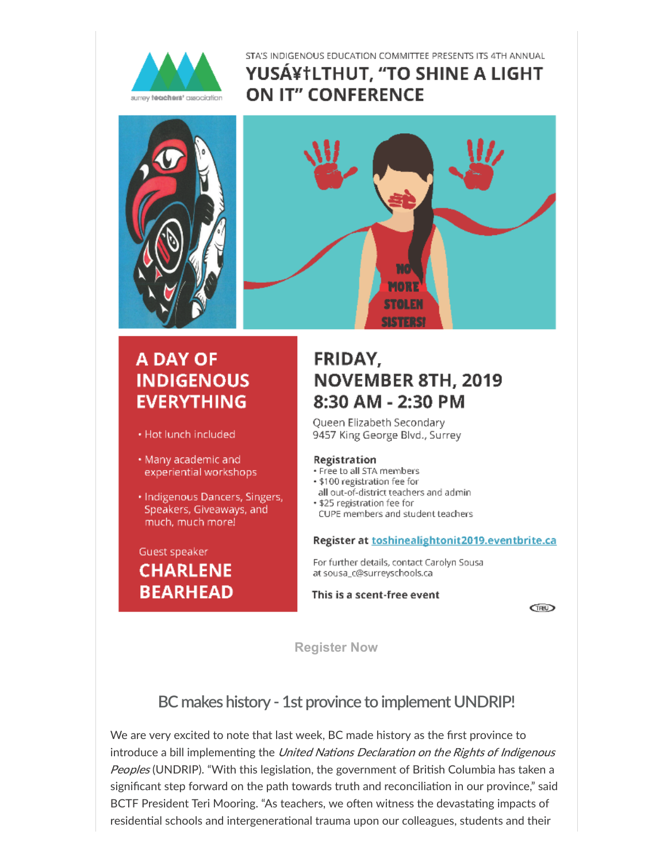

#### STA'S INDIGENOUS EDUCATION COMMITTEE PRESENTS ITS 4TH ANNUAL YUS素LTHUT, "TO SHINE A LIGHT **ON IT" CONFERENCE**



# **A DAY OF INDIGENOUS EVERYTHING**

- · Hot lunch included
- Many academic and experiential workshops
- · Indigenous Dancers, Singers, Speakers, Giveaways, and much, much more!

Guest speaker **CHARLENE BEARHEAD** 

# FRIDAY. **NOVEMBER 8TH, 2019** 8:30 AM - 2:30 PM

MORE

Oueen Elizabeth Secondary 9457 King George Blvd., Surrey

#### Registration

- · Free to all STA members
- · \$100 registration fee for
- all out-of-district teachers and admin
- . \$25 registration fee for
- CUPE members and student teachers

#### Register at toshinealightonit2019.eventbrite.ca

For further details, contact Carolyn Sousa at sousa\_c@surreyschools.ca

#### This is a scent-free event

**CIRD** 

**[Register Now](https://surreyteachers.us20.list-manage.com/track/click?u=37ec644ae87e34b54b3912660&id=c18c8b9dcf&e=7261da6bdb)**

### **BC makes history - 1st province to implement UNDRIP!**

We are very excited to note that last week, BC made history as the first province to introduce a bill implementing the United Nations Declaration on the Rights of Indigenous Peoples (UNDRIP). "With this legislation, the government of British Columbia has taken a significant step forward on the path towards truth and reconciliation in our province," said BCTF President Teri Mooring. "As teachers, we often witness the devastating impacts of residential schools and intergenerational trauma upon our colleagues, students and their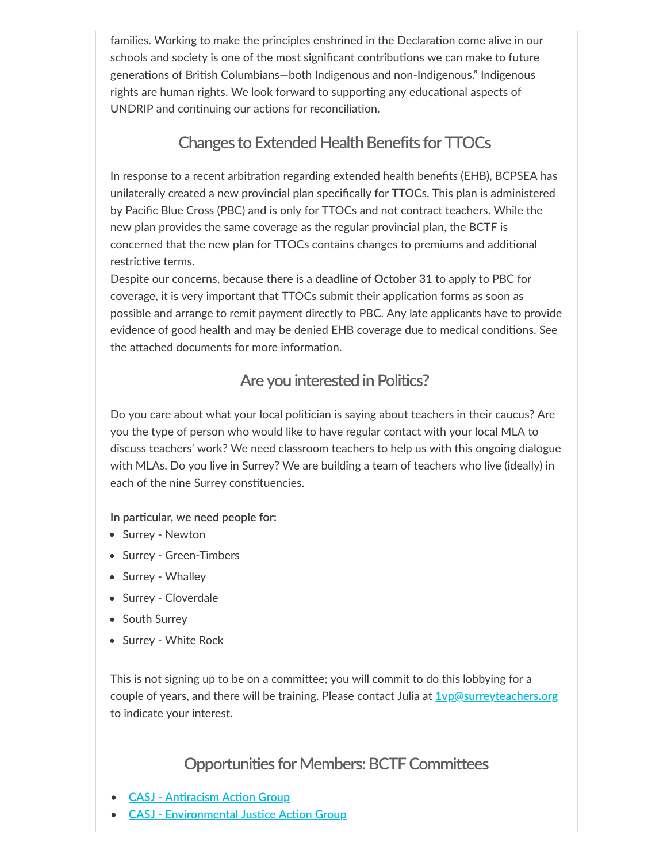families. Working to make the principles enshrined in the Declaration come alive in our schools and society is one of the most significant contributions we can make to future generations of British Columbians—both Indigenous and non-Indigenous." Indigenous rights are human rights. We look forward to supporting any educational aspects of UNDRIP and continuing our actions for reconciliation.

### **Changes to Extended Health Benefits for TTOCs**

In response to a recent arbitration regarding extended health benefits (EHB), BCPSEA has unilaterally created a new provincial plan specifically for TTOCs. This plan is administered by Pacific Blue Cross (PBC) and is only for TTOCs and not contract teachers. While the new plan provides the same coverage as the regular provincial plan, the BCTF is concerned that the new plan for TTOCs contains changes to premiums and additional restrictive terms.

Despite our concerns, because there is a **deadline of October 31** to apply to PBC for coverage, it is very important that TTOCs submit their application forms as soon as possible and arrange to remit payment directly to PBC. Any late applicants have to provide evidence of good health and may be denied EHB coverage due to medical conditions. See the attached documents for more information.

## **Are you interested inPolitics?**

Do you care about what your local politician is saying about teachers in their caucus? Are you the type of person who would like to have regular contact with your local MLA to discuss teachers' work? We need classroom teachers to help us with this ongoing dialogue with MLAs. Do you live in Surrey? We are building a team of teachers who live (ideally) in each of the nine Surrey constituencies.

**In parcular, we need people for:**

- Surrey Newton
- Surrey Green-Timbers
- Surrey Whalley
- Surrey Cloverdale
- South Surrey
- Surrey White Rock

This is not signing up to be on a committee; you will commit to do this lobbying for a couple of years, and there will be training. Please contact Julia at **[1vp@surreyteachers.org](mailto:1vp@surreyteachers.org)** to indicate your interest.

### **Opportunities for Members: BCTF Committees**

- **CASJ Antiracism Action Group**
- **CASJ [Environmental](https://surreyteachers.us20.list-manage.com/track/click?u=37ec644ae87e34b54b3912660&id=a2b3361064&e=7261da6bdb) Justice Action Group**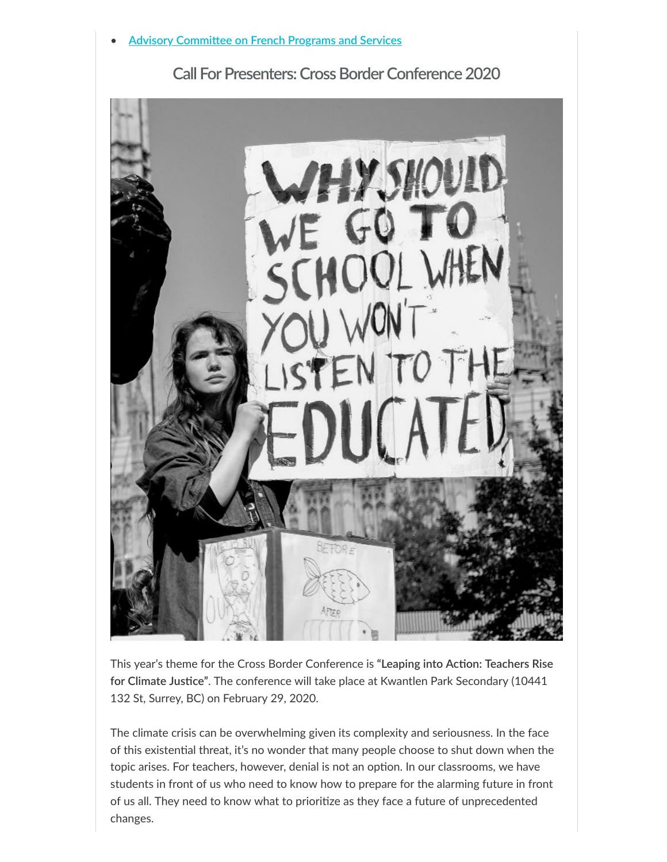



 $T$ his year's theme for the Cross Border Conference is "Leaping into Action: Teachers Rise for Climate Justice". The conference will take place at Kwantlen Park Secondary (10441 132 St, Surrey, BC) on February 29, 2020.

The climate crisis can be overwhelming given its complexity and seriousness. In the face of this existential threat, it's no wonder that many people choose to shut down when the topic arises. For teachers, however, denial is not an option. In our classrooms, we have students in front of us who need to know how to prepare for the alarming future in front of us all. They need to know what to prioritize as they face a future of unprecedented changes.